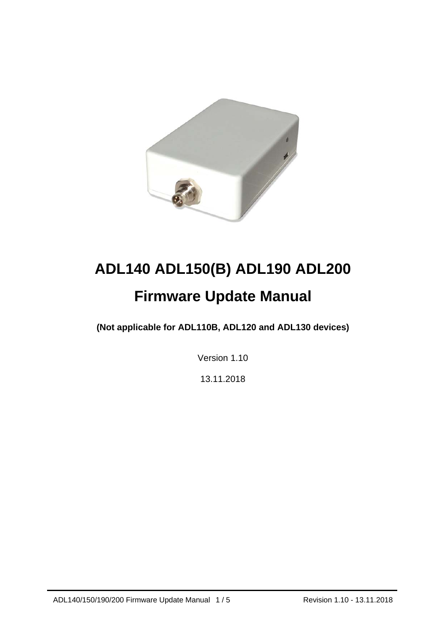

# **ADL140 ADL150(B) ADL190 ADL200 Firmware Update Manual**

**(Not applicable for ADL110B, ADL120 and ADL130 devices)** 

Version 1.10

13.11.2018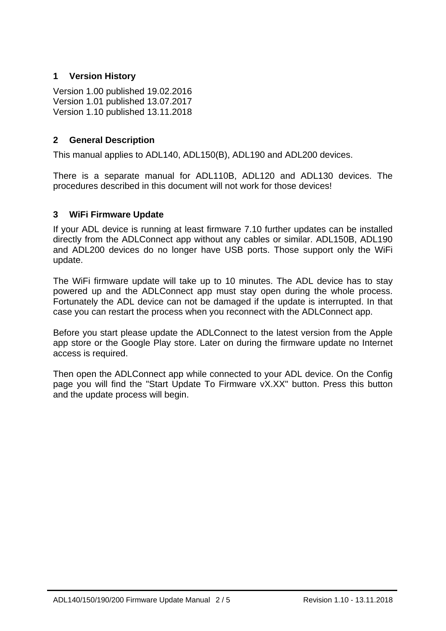## **1 Version History**

Version 1.00 published 19.02.2016 Version 1.01 published 13.07.2017 Version 1.10 published 13.11.2018

## **2 General Description**

This manual applies to ADL140, ADL150(B), ADL190 and ADL200 devices.

There is a separate manual for ADL110B, ADL120 and ADL130 devices. The procedures described in this document will not work for those devices!

#### **3 WiFi Firmware Update**

If your ADL device is running at least firmware 7.10 further updates can be installed directly from the ADLConnect app without any cables or similar. ADL150B, ADL190 and ADL200 devices do no longer have USB ports. Those support only the WiFi update.

The WiFi firmware update will take up to 10 minutes. The ADL device has to stay powered up and the ADLConnect app must stay open during the whole process. Fortunately the ADL device can not be damaged if the update is interrupted. In that case you can restart the process when you reconnect with the ADLConnect app.

Before you start please update the ADLConnect to the latest version from the Apple app store or the Google Play store. Later on during the firmware update no Internet access is required.

Then open the ADLConnect app while connected to your ADL device. On the Config page you will find the "Start Update To Firmware vX.XX" button. Press this button and the update process will begin.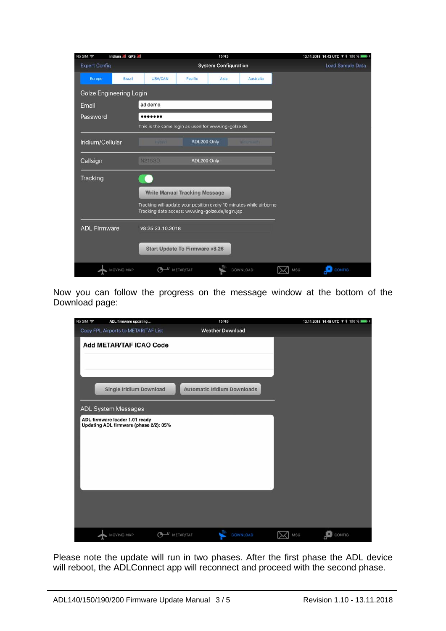| No SIM 今<br>Iridium all GPS all |            | 15:43                                                                                                                  |             |      |                      | 13.11.2018 14:43 UTC 1 % 100 % |
|---------------------------------|------------|------------------------------------------------------------------------------------------------------------------------|-------------|------|----------------------|--------------------------------|
| <b>Expert Config</b>            |            | <b>System Configuration</b>                                                                                            |             |      |                      | Load Sample Data               |
| Europe                          | Brazil     | USA/CAN                                                                                                                | Pacific     | Asia | Australia            |                                |
| <b>Golze Engineering Login</b>  |            |                                                                                                                        |             |      |                      |                                |
| Email                           |            | adldemo                                                                                                                |             |      |                      |                                |
| Password                        |            |                                                                                                                        |             |      |                      |                                |
|                                 |            | This is the same login as used for www.ing-golze.de                                                                    |             |      |                      |                                |
| Iridium/Cellular                |            | <b>Hybrid</b>                                                                                                          | ADL200 Only |      | <b>Ifillium</b> only |                                |
| Callsign                        |            | <b>N215SD</b><br>ADL200 Only                                                                                           |             |      |                      |                                |
| Tracking                        |            |                                                                                                                        |             |      |                      |                                |
|                                 |            | <b>Write Manual Tracking Message</b>                                                                                   |             |      |                      |                                |
|                                 |            |                                                                                                                        |             |      |                      |                                |
|                                 |            | Tracking will update your position every 10 minutes while airborne<br>Tracking data access: www.ing-golze.de/login.jsp |             |      |                      |                                |
| <b>ADL Firmware</b>             |            | v8.25 23.10.2018                                                                                                       |             |      |                      |                                |
|                                 |            |                                                                                                                        |             |      |                      |                                |
|                                 |            | <b>Start Update To Firmware v8.26</b>                                                                                  |             |      |                      |                                |
|                                 | MOVING MAP |                                                                                                                        | METAR/TAF   |      | DOWNLOAD             | <b>CONFIG</b><br>MSG           |

Now you can follow the progress on the message window at the bottom of the Download page:



Please note the update will run in two phases. After the first phase the ADL device will reboot, the ADLConnect app will reconnect and proceed with the second phase.

j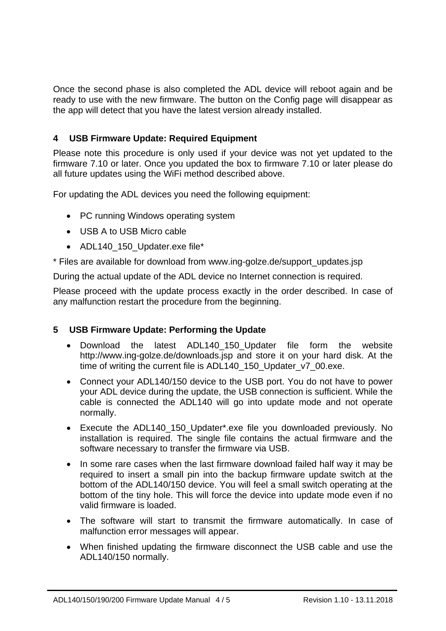Once the second phase is also completed the ADL device will reboot again and be ready to use with the new firmware. The button on the Config page will disappear as the app will detect that you have the latest version already installed.

#### **4 USB Firmware Update: Required Equipment**

Please note this procedure is only used if your device was not yet updated to the firmware 7.10 or later. Once you updated the box to firmware 7.10 or later please do all future updates using the WiFi method described above.

For updating the ADL devices you need the following equipment:

- PC running Windows operating system
- USB A to USB Micro cable
- ADL140 150 Updater.exe file\*

\* Files are available for download from www.ing-golze.de/support\_updates.jsp

During the actual update of the ADL device no Internet connection is required.

Please proceed with the update process exactly in the order described. In case of any malfunction restart the procedure from the beginning.

#### **5 USB Firmware Update: Performing the Update**

- Download the latest ADL140\_150\_Updater file form the website http://www.ing-golze.de/downloads.jsp and store it on your hard disk. At the time of writing the current file is ADL140\_150\_Updater\_v7\_00.exe.
- Connect your ADL140/150 device to the USB port. You do not have to power your ADL device during the update, the USB connection is sufficient. While the cable is connected the ADL140 will go into update mode and not operate normally.
- Execute the ADL140 150 Updater\*.exe file you downloaded previously. No installation is required. The single file contains the actual firmware and the software necessary to transfer the firmware via USB.
- In some rare cases when the last firmware download failed half way it may be required to insert a small pin into the backup firmware update switch at the bottom of the ADL140/150 device. You will feel a small switch operating at the bottom of the tiny hole. This will force the device into update mode even if no valid firmware is loaded.
- The software will start to transmit the firmware automatically. In case of malfunction error messages will appear.
- When finished updating the firmware disconnect the USB cable and use the ADL140/150 normally.